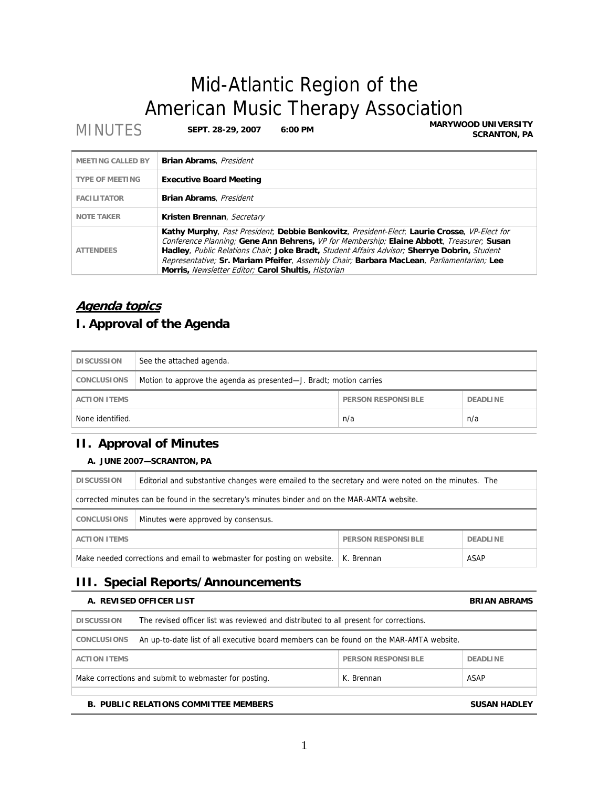# Mid-Atlantic Region of the American Music Therapy Association<br>MARYWOOD UNIVERSITY

**MINUTES SEPT. 28-29, 2007** 6:00 PM

**SCRANTON, PA**

| <b>MEETING CALLED BY</b> | <b>Brian Abrams</b> , <i>President</i>                                                                                                                                                                                                                                                                                                                                                                                                        |
|--------------------------|-----------------------------------------------------------------------------------------------------------------------------------------------------------------------------------------------------------------------------------------------------------------------------------------------------------------------------------------------------------------------------------------------------------------------------------------------|
| <b>TYPE OF MEETING</b>   | <b>Executive Board Meeting</b>                                                                                                                                                                                                                                                                                                                                                                                                                |
| <b>FACILITATOR</b>       | <b>Brian Abrams</b> , <i>President</i>                                                                                                                                                                                                                                                                                                                                                                                                        |
| <b>NOTE TAKER</b>        | Kristen Brennan, Secretary                                                                                                                                                                                                                                                                                                                                                                                                                    |
| <b>ATTENDEES</b>         | Kathy Murphy, Past President; Debbie Benkovitz, President-Elect; Laurie Crosse, VP-Elect for<br>Conference Planning; Gene Ann Behrens, VP for Membership; Elaine Abbott, Treasurer, Susan<br>Hadley, Public Relations Chair, Joke Bradt, Student Affairs Advisor; Sherrye Dobrin, Student<br>Representative; Sr. Mariam Pfeifer, Assembly Chair; Barbara MacLean, Parliamentarian; Lee<br>Morris, Newsletter Editor; Carol Shultis, Historian |

# **Agenda topics**

# **I. Approval of the Agenda**

| <b>DISCUSSION</b>                                                   | See the attached agenda.                                           |     |     |
|---------------------------------------------------------------------|--------------------------------------------------------------------|-----|-----|
| <b>CONCLUSIONS</b>                                                  | Motion to approve the agenda as presented—J. Bradt; motion carries |     |     |
| <b>PERSON RESPONSIBLE</b><br><b>DEADLINE</b><br><b>ACTION ITEMS</b> |                                                                    |     |     |
| None identified.                                                    |                                                                    | n/a | n/a |

# **II. Approval of Minutes**

### **A. JUNE 2007—SCRANTON, PA**

| <b>DISCUSSION</b>                                                                             | Editorial and substantive changes were emailed to the secretary and were noted on the minutes. The |  |  |  |
|-----------------------------------------------------------------------------------------------|----------------------------------------------------------------------------------------------------|--|--|--|
| corrected minutes can be found in the secretary's minutes binder and on the MAR-AMTA website. |                                                                                                    |  |  |  |
| Minutes were approved by consensus.<br><b>CONCLUSIONS</b>                                     |                                                                                                    |  |  |  |
| <b>PERSON RESPONSIBLE</b><br><b>ACTION ITEMS</b><br><b>DEADLINE</b>                           |                                                                                                    |  |  |  |
| ASAP<br>Make needed corrections and email to webmaster for posting on website.<br>K. Brennan  |                                                                                                    |  |  |  |

# **III. Special Reports/Announcements**

|                     | A. REVISED OFFICER LIST                                                                 |                           | <b>BRIAN ABRAMS</b> |
|---------------------|-----------------------------------------------------------------------------------------|---------------------------|---------------------|
| <b>DISCUSSION</b>   | The revised officer list was reviewed and distributed to all present for corrections.   |                           |                     |
| <b>CONCLUSIONS</b>  | An up-to-date list of all executive board members can be found on the MAR-AMTA website. |                           |                     |
| <b>ACTION ITEMS</b> |                                                                                         | <b>PERSON RESPONSIBLE</b> | <b>DEADLINE</b>     |
|                     | Make corrections and submit to webmaster for posting.                                   | K. Brennan                | ASAP                |
|                     |                                                                                         |                           |                     |
|                     | <b>B. PUBLIC RELATIONS COMMITTEE MEMBERS</b>                                            |                           | <b>SUSAN HADLEY</b> |

1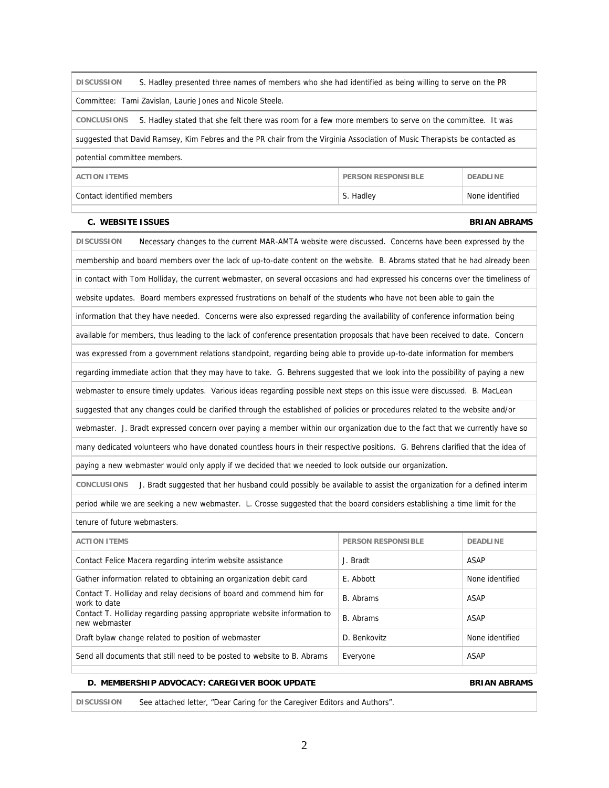| Committee: Tami Zavislan, Laurie Jones and Nicole Steele.                                                                       |                           |                     |  |
|---------------------------------------------------------------------------------------------------------------------------------|---------------------------|---------------------|--|
| S. Hadley stated that she felt there was room for a few more members to serve on the committee. It was<br><b>CONCLUSIONS</b>    |                           |                     |  |
| suggested that David Ramsey, Kim Febres and the PR chair from the Virginia Association of Music Therapists be contacted as      |                           |                     |  |
| potential committee members.                                                                                                    |                           |                     |  |
| <b>ACTION ITEMS</b>                                                                                                             | <b>PERSON RESPONSIBLE</b> | <b>DEADLINE</b>     |  |
| Contact identified members                                                                                                      | S. Hadley                 | None identified     |  |
| <b>C. WEBSITE ISSUES</b>                                                                                                        |                           | <b>BRIAN ABRAMS</b> |  |
| Necessary changes to the current MAR-AMTA website were discussed. Concerns have been expressed by the<br><b>DISCUSSION</b>      |                           |                     |  |
| membership and board members over the lack of up-to-date content on the website. B. Abrams stated that he had already been      |                           |                     |  |
| in contact with Tom Holliday, the current webmaster, on several occasions and had expressed his concerns over the timeliness of |                           |                     |  |
| website updates. Board members expressed frustrations on behalf of the students who have not been able to gain the              |                           |                     |  |
| information that they have needed. Concerns were also expressed regarding the availability of conference information being      |                           |                     |  |
| available for members, thus leading to the lack of conference presentation proposals that have been received to date. Concern   |                           |                     |  |
| was expressed from a government relations standpoint, regarding being able to provide up-to-date information for members        |                           |                     |  |

**DISCUSSION** S. Hadley presented three names of members who she had identified as being willing to serve on the PR

regarding immediate action that they may have to take. G. Behrens suggested that we look into the possibility of paying a new

webmaster to ensure timely updates. Various ideas regarding possible next steps on this issue were discussed. B. MacLean

suggested that any changes could be clarified through the established of policies or procedures related to the website and/or

webmaster. J. Bradt expressed concern over paying a member within our organization due to the fact that we currently have so

many dedicated volunteers who have donated countless hours in their respective positions. G. Behrens clarified that the idea of

paying a new webmaster would only apply if we decided that we needed to look outside our organization.

**CONCLUSIONS** J. Bradt suggested that her husband could possibly be available to assist the organization for a defined interim

period while we are seeking a new webmaster. L. Crosse suggested that the board considers establishing a time limit for the tenure of future webmasters.

| <b>ACTION ITEMS</b>                                                                       | <b>PERSON RESPONSIBLE</b> | <b>DEADLINE</b> |
|-------------------------------------------------------------------------------------------|---------------------------|-----------------|
| Contact Felice Macera regarding interim website assistance                                | J. Bradt                  | ASAP            |
| Gather information related to obtaining an organization debit card                        | E. Abbott                 | None identified |
| Contact T. Holliday and relay decisions of board and commend him for<br>work to date      | B. Abrams                 | ASAP            |
| Contact T. Holliday regarding passing appropriate website information to<br>new webmaster | B. Abrams                 | ASAP            |
| Draft bylaw change related to position of webmaster                                       | D. Benkovitz              | None identified |
| Send all documents that still need to be posted to website to B. Abrams                   | Everyone                  | <b>ASAP</b>     |

#### **D. MEMBERSHIP ADVOCACY: CAREGIVER BOOK UPDATE ALL CONDUCTS ON ABRAMS**

**DISCUSSION** See attached letter, "Dear Caring for the Caregiver Editors and Authors".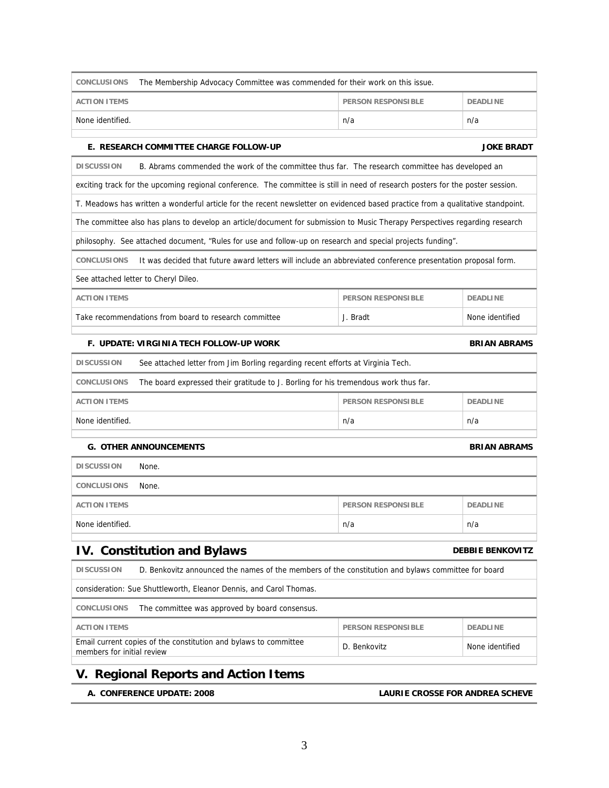| <b>ACTION ITEMS</b>                                                                                                             |                                              | <b>PERSON RESPONSIBLE</b>                                                                                   | <b>DEADLINE</b>     |  |
|---------------------------------------------------------------------------------------------------------------------------------|----------------------------------------------|-------------------------------------------------------------------------------------------------------------|---------------------|--|
| None identified.                                                                                                                |                                              | n/a                                                                                                         | n/a                 |  |
| E. RESEARCH COMMITTEE CHARGE FOLLOW-UP                                                                                          |                                              |                                                                                                             | <b>JOKE BRADT</b>   |  |
| <b>DISCUSSION</b>                                                                                                               |                                              | B. Abrams commended the work of the committee thus far. The research committee has developed an             |                     |  |
| exciting track for the upcoming regional conference. The committee is still in need of research posters for the poster session. |                                              |                                                                                                             |                     |  |
| T. Meadows has written a wonderful article for the recent newsletter on evidenced based practice from a qualitative standpoint. |                                              |                                                                                                             |                     |  |
| The committee also has plans to develop an article/document for submission to Music Therapy Perspectives regarding research     |                                              |                                                                                                             |                     |  |
| philosophy. See attached document, "Rules for use and follow-up on research and special projects funding".                      |                                              |                                                                                                             |                     |  |
| <b>CONCLUSIONS</b>                                                                                                              |                                              | It was decided that future award letters will include an abbreviated conference presentation proposal form. |                     |  |
| See attached letter to Cheryl Dileo.                                                                                            |                                              |                                                                                                             |                     |  |
| <b>ACTION ITEMS</b>                                                                                                             |                                              | <b>PERSON RESPONSIBLE</b>                                                                                   | <b>DEADLINE</b>     |  |
| Take recommendations from board to research committee                                                                           |                                              | J. Bradt                                                                                                    | None identified     |  |
| F. UPDATE: VIRGINIA TECH FOLLOW-UP WORK                                                                                         |                                              |                                                                                                             | <b>BRIAN ABRAMS</b> |  |
| See attached letter from Jim Borling regarding recent efforts at Virginia Tech.<br><b>DISCUSSION</b>                            |                                              |                                                                                                             |                     |  |
| The board expressed their gratitude to J. Borling for his tremendous work thus far.<br>CONCLUSIONS                              |                                              |                                                                                                             |                     |  |
| <b>ACTION ITEMS</b>                                                                                                             | <b>PERSON RESPONSIBLE</b><br><b>DEADLINE</b> |                                                                                                             |                     |  |
| None identified.<br>n/a<br>n/a                                                                                                  |                                              |                                                                                                             |                     |  |
| <b>G. OTHER ANNOUNCEMENTS</b><br><b>BRIAN ABRAMS</b>                                                                            |                                              |                                                                                                             |                     |  |
| <b>DISCUSSION</b><br>None.                                                                                                      |                                              |                                                                                                             |                     |  |
| CONCLUSIONS<br>None.                                                                                                            |                                              |                                                                                                             |                     |  |
| <b>ACTION ITEMS</b>                                                                                                             |                                              | <b>PERSON RESPONSIBLE</b>                                                                                   | <b>DEADLINE</b>     |  |
| None identified.                                                                                                                |                                              | n/a                                                                                                         | n/a                 |  |
| <b>IV. Constitution and Bylaws</b><br><b>DEBBIE BENKOVITZ</b>                                                                   |                                              |                                                                                                             |                     |  |
| <b>DISCUSSION</b>                                                                                                               |                                              | D. Benkovitz announced the names of the members of the constitution and bylaws committee for board          |                     |  |
| consideration: Sue Shuttleworth, Eleanor Dennis, and Carol Thomas.                                                              |                                              |                                                                                                             |                     |  |
| CONCLUSIONS<br>The committee was approved by board consensus.                                                                   |                                              |                                                                                                             |                     |  |
| <b>ACTION ITEMS</b>                                                                                                             |                                              | <b>PERSON RESPONSIBLE</b>                                                                                   | <b>DEADLINE</b>     |  |
| Email current copies of the constitution and bylaws to committee<br>members for initial review                                  |                                              | D. Benkovitz                                                                                                | None identified     |  |
| V. Pogional Poperts and Action Itoms                                                                                            |                                              |                                                                                                             |                     |  |

**CONCLUSIONS** The Membership Advocacy Committee was commended for their work on this issue.

# **V. Regional Reports and Action Items**

 **A. CONFERENCE UPDATE: 2008 LAURIE CROSSE FOR ANDREA SCHEVE**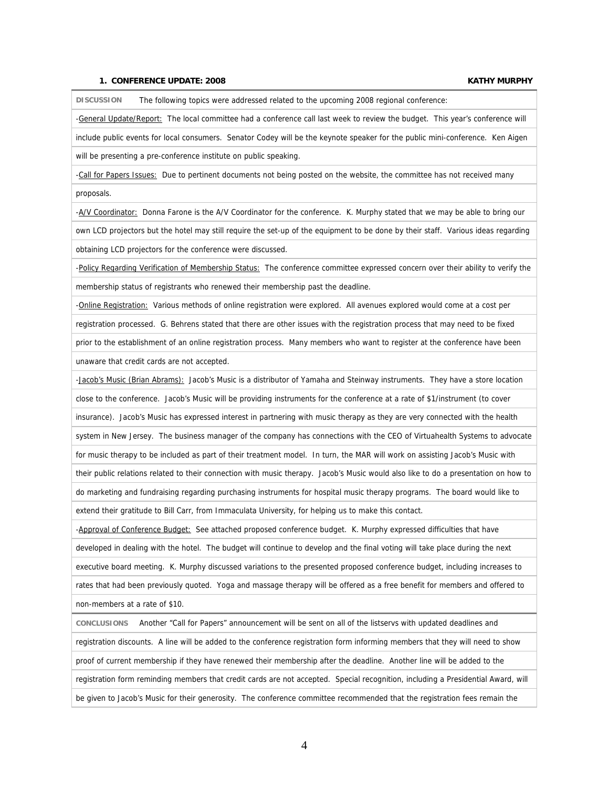#### **1. CONFERENCE UPDATE: 2008 KATHY MURPHY**

**DISCUSSION** The following topics were addressed related to the upcoming 2008 regional conference:

-General Update/Report: The local committee had a conference call last week to review the budget. This year's conference will

include public events for local consumers. Senator Codey will be the keynote speaker for the public mini-conference. Ken Aigen will be presenting a pre-conference institute on public speaking.

-Call for Papers Issues: Due to pertinent documents not being posted on the website, the committee has not received many proposals.

-A/V Coordinator: Donna Farone is the A/V Coordinator for the conference. K. Murphy stated that we may be able to bring our own LCD projectors but the hotel may still require the set-up of the equipment to be done by their staff. Various ideas regarding obtaining LCD projectors for the conference were discussed.

-Policy Regarding Verification of Membership Status: The conference committee expressed concern over their ability to verify the membership status of registrants who renewed their membership past the deadline.

-Online Registration: Various methods of online registration were explored. All avenues explored would come at a cost per

registration processed. G. Behrens stated that there are other issues with the registration process that may need to be fixed

prior to the establishment of an online registration process. Many members who want to register at the conference have been unaware that credit cards are not accepted.

-Jacob's Music (Brian Abrams): Jacob's Music is a distributor of Yamaha and Steinway instruments. They have a store location

close to the conference. Jacob's Music will be providing instruments for the conference at a rate of \$1/instrument (to cover

insurance). Jacob's Music has expressed interest in partnering with music therapy as they are very connected with the health

system in New Jersey. The business manager of the company has connections with the CEO of Virtuahealth Systems to advocate

for music therapy to be included as part of their treatment model. In turn, the MAR will work on assisting Jacob's Music with

their public relations related to their connection with music therapy. Jacob's Music would also like to do a presentation on how to

do marketing and fundraising regarding purchasing instruments for hospital music therapy programs. The board would like to

extend their gratitude to Bill Carr, from Immaculata University, for helping us to make this contact.

-Approval of Conference Budget: See attached proposed conference budget. K. Murphy expressed difficulties that have

developed in dealing with the hotel. The budget will continue to develop and the final voting will take place during the next

executive board meeting. K. Murphy discussed variations to the presented proposed conference budget, including increases to

rates that had been previously quoted. Yoga and massage therapy will be offered as a free benefit for members and offered to non-members at a rate of \$10.

**CONCLUSIONS** Another "Call for Papers" announcement will be sent on all of the listservs with updated deadlines and

registration discounts. A line will be added to the conference registration form informing members that they will need to show

proof of current membership if they have renewed their membership after the deadline. Another line will be added to the

registration form reminding members that credit cards are not accepted. Special recognition, including a Presidential Award, will

be given to Jacob's Music for their generosity. The conference committee recommended that the registration fees remain the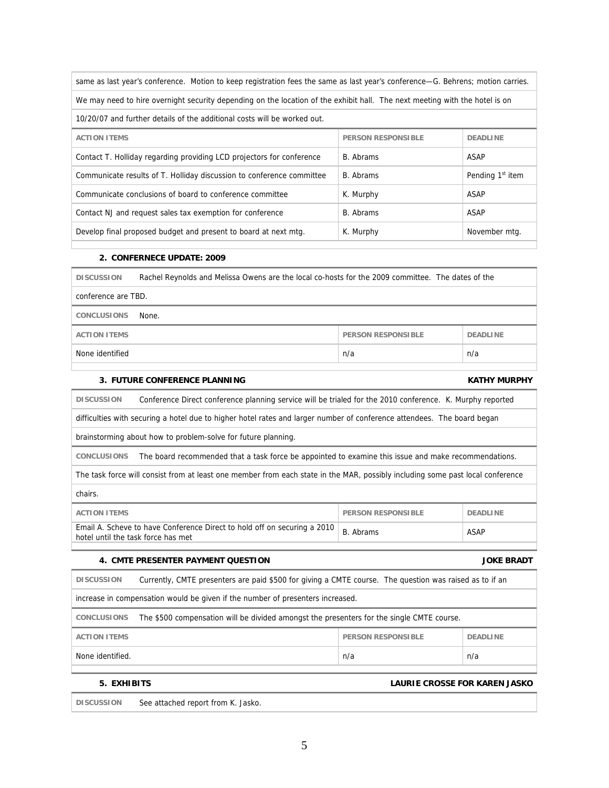| same as last year's conference. Motion to keep registration fees the same as last year's conference—G. Behrens; motion carries. |                           |                              |  |
|---------------------------------------------------------------------------------------------------------------------------------|---------------------------|------------------------------|--|
| We may need to hire overnight security depending on the location of the exhibit hall. The next meeting with the hotel is on     |                           |                              |  |
| 10/20/07 and further details of the additional costs will be worked out.                                                        |                           |                              |  |
| <b>ACTION ITEMS</b>                                                                                                             | <b>PERSON RESPONSIBLE</b> | <b>DEADLINE</b>              |  |
| Contact T. Holliday regarding providing LCD projectors for conference                                                           | B. Abrams                 | ASAP                         |  |
| Communicate results of T. Holliday discussion to conference committee                                                           | B. Abrams                 | Pending 1 <sup>st</sup> item |  |
| Communicate conclusions of board to conference committee                                                                        | K. Murphy                 | ASAP                         |  |
| Contact NJ and request sales tax exemption for conference                                                                       | B. Abrams                 | ASAP                         |  |
| Develop final proposed budget and present to board at next mtg.                                                                 | K. Murphy                 | November mtg.                |  |
|                                                                                                                                 |                           |                              |  |

### **2. CONFERNECE UPDATE: 2009**

| <b>DISCUSSION</b>             | Rachel Reynolds and Melissa Owens are the local co-hosts for the 2009 committee. The dates of the |                           |                 |
|-------------------------------|---------------------------------------------------------------------------------------------------|---------------------------|-----------------|
| conference are TBD.           |                                                                                                   |                           |                 |
| <b>CONCLUSIONS</b>            | None.                                                                                             |                           |                 |
| <b>ACTION ITEMS</b>           |                                                                                                   | <b>PERSON RESPONSIBLE</b> | <b>DEADLINE</b> |
| n/a<br>n/a<br>None identified |                                                                                                   |                           |                 |
|                               |                                                                                                   |                           |                 |

### **3. FUTURE CONFERENCE PLANNING KATHY MURPHY**

**DISCUSSION** Conference Direct conference planning service will be trialed for the 2010 conference. K. Murphy reported difficulties with securing a hotel due to higher hotel rates and larger number of conference attendees. The board began brainstorming about how to problem-solve for future planning. **CONCLUSIONS** The board recommended that a task force be appointed to examine this issue and make recommendations. The task force will consist from at least one member from each state in the MAR, possibly including some past local conference chairs.

| ACTION ITFMS                                                                                                   | <b>PERSON RESPONSIBLE</b> | <b>DEADLINE</b> |
|----------------------------------------------------------------------------------------------------------------|---------------------------|-----------------|
| Email A. Scheve to have Conference Direct to hold off on securing a 2010<br>hotel until the task force has met | B. Abrams                 | ASAP            |

#### **4. CMTE PRESENTER PAYMENT QUESTION JOKE BRADT**

| <b>DISCUSSION</b>                                                                                               | Currently, CMTE presenters are paid \$500 for giving a CMTE course. The question was raised as to if an |                           |                 |  |
|-----------------------------------------------------------------------------------------------------------------|---------------------------------------------------------------------------------------------------------|---------------------------|-----------------|--|
| increase in compensation would be given if the number of presenters increased.                                  |                                                                                                         |                           |                 |  |
| The \$500 compensation will be divided amongst the presenters for the single CMTE course.<br><b>CONCLUSIONS</b> |                                                                                                         |                           |                 |  |
| <b>ACTION ITEMS</b>                                                                                             |                                                                                                         | <b>PERSON RESPONSIBLE</b> | <b>DEADLINE</b> |  |
| None identified.<br>n/a<br>n/a                                                                                  |                                                                                                         |                           |                 |  |
|                                                                                                                 |                                                                                                         |                           |                 |  |

#### **5. EXHIBITS LAURIE CROSSE FOR KAREN JASKO**

**DISCUSSION** See attached report from K. Jasko.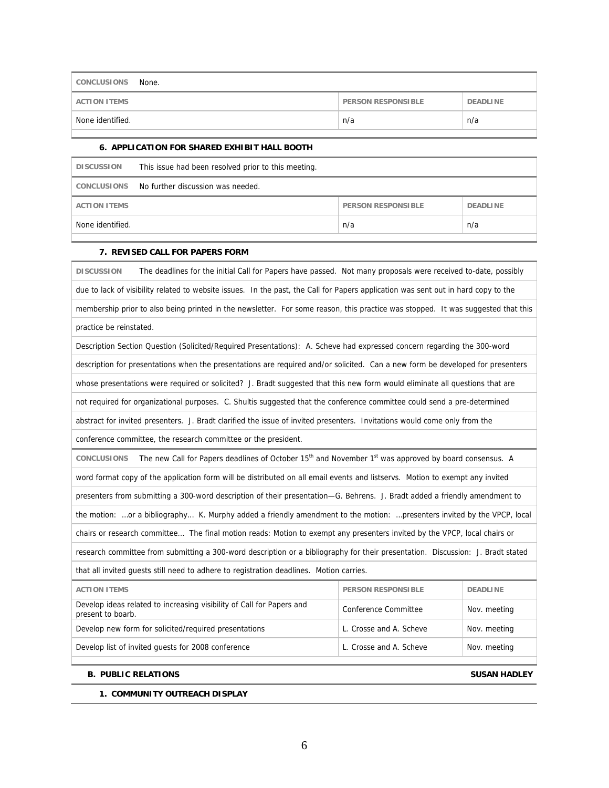| CONCLUSIONS<br>None. |                           |                 |
|----------------------|---------------------------|-----------------|
| <b>ACTION ITEMS</b>  | <b>PERSON RESPONSIBLE</b> | <b>DEADLINE</b> |
| None identified.     | n/a                       | n/a             |

### **6. APPLICATION FOR SHARED EXHIBIT HALL BOOTH**

| <b>DISCUSSION</b>   | This issue had been resolved prior to this meeting. |                           |                 |
|---------------------|-----------------------------------------------------|---------------------------|-----------------|
|                     | CONCLUSIONS No further discussion was needed.       |                           |                 |
| <b>ACTION ITEMS</b> |                                                     | <b>PERSON RESPONSIBLE</b> | <b>DEADLINE</b> |
| None identified.    |                                                     | n/a                       | n/a             |
|                     |                                                     |                           |                 |

### **7. REVISED CALL FOR PAPERS FORM**

| <b>DISCUSSION</b><br>The deadlines for the initial Call for Papers have passed. Not many proposals were received to-date, possibly                  |  |  |
|-----------------------------------------------------------------------------------------------------------------------------------------------------|--|--|
| due to lack of visibility related to website issues. In the past, the Call for Papers application was sent out in hard copy to the                  |  |  |
| membership prior to also being printed in the newsletter. For some reason, this practice was stopped. It was suggested that this                    |  |  |
| practice be reinstated.                                                                                                                             |  |  |
| Description Section Question (Solicited/Required Presentations): A. Scheve had expressed concern regarding the 300-word                             |  |  |
| description for presentations when the presentations are required and/or solicited. Can a new form be developed for presenters                      |  |  |
| whose presentations were required or solicited? J. Bradt suggested that this new form would eliminate all questions that are                        |  |  |
| not required for organizational purposes. C. Shultis suggested that the conference committee could send a pre-determined                            |  |  |
| abstract for invited presenters. J. Bradt clarified the issue of invited presenters. Invitations would come only from the                           |  |  |
| conference committee, the research committee or the president.                                                                                      |  |  |
| The new Call for Papers deadlines of October 15 <sup>th</sup> and November 1 <sup>st</sup> was approved by board consensus. A<br><b>CONCLUSIONS</b> |  |  |
| word format copy of the application form will be distributed on all email events and listservs. Motion to exempt any invited                        |  |  |
| presenters from submitting a 300-word description of their presentation-G. Behrens. J. Bradt added a friendly amendment to                          |  |  |
| the motion: or a bibliography K. Murphy added a friendly amendment to the motion: presenters invited by the VPCP, local                             |  |  |
| chairs or research committee The final motion reads: Motion to exempt any presenters invited by the VPCP, local chairs or                           |  |  |
| research committee from submitting a 300-word description or a bibliography for their presentation. Discussion: J. Bradt stated                     |  |  |
| that all invited guests still need to adhere to registration deadlines. Motion carries.                                                             |  |  |
| <b>ACTION ITEMS</b><br><b>PERSON RESPONSIBLE</b><br><b>DEADLINE</b>                                                                                 |  |  |
| Develop ideas related to increasing visibility of Call for Papers and<br>Conference Committee<br>Nov. meeting<br>present to boarb.                  |  |  |
| Develop new form for solicited/required presentations<br>L. Crosse and A. Scheve<br>Nov. meeting                                                    |  |  |
| Develop list of invited guests for 2008 conference<br>L. Crosse and A. Scheve<br>Nov. meeting                                                       |  |  |

### **B. PUBLIC RELATIONS SUSAN HADLEY**

## **1. COMMUNITY OUTREACH DISPLAY**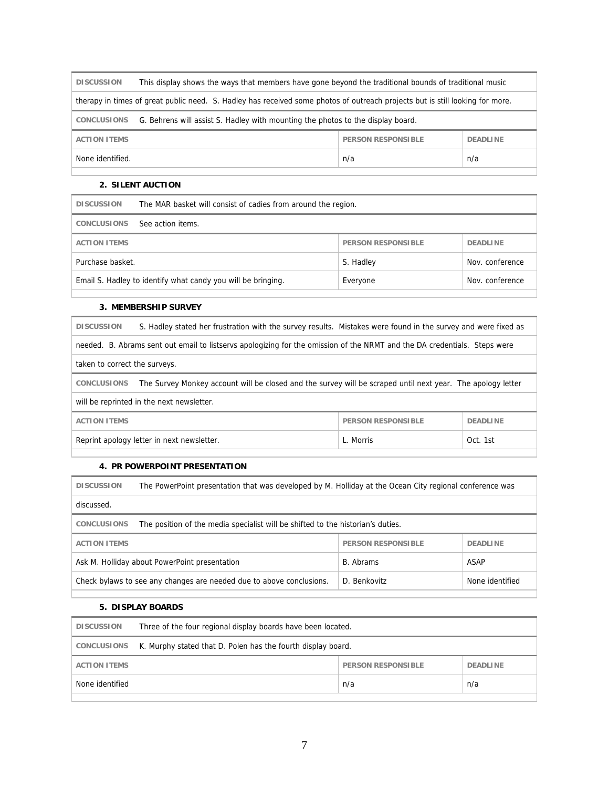| <b>DISCUSSION</b>                                                                                                             | This display shows the ways that members have gone beyond the traditional bounds of traditional music |                    |                 |
|-------------------------------------------------------------------------------------------------------------------------------|-------------------------------------------------------------------------------------------------------|--------------------|-----------------|
| therapy in times of great public need. S. Hadley has received some photos of outreach projects but is still looking for more. |                                                                                                       |                    |                 |
| <b>CONCLUSIONS</b>                                                                                                            | G. Behrens will assist S. Hadley with mounting the photos to the display board.                       |                    |                 |
| <b>ACTION ITEMS</b>                                                                                                           |                                                                                                       | PERSON RESPONSIBLE | <b>DEADLINE</b> |
| None identified.                                                                                                              |                                                                                                       | n/a                | n/a             |
|                                                                                                                               |                                                                                                       |                    |                 |

#### **2. SILENT AUCTION**

| <b>DISCUSSION</b>                                                        | The MAR basket will consist of cadies from around the region. |                           |                 |
|--------------------------------------------------------------------------|---------------------------------------------------------------|---------------------------|-----------------|
| <b>CONCLUSIONS</b>                                                       | See action items.                                             |                           |                 |
| <b>ACTION ITEMS</b>                                                      |                                                               | <b>PERSON RESPONSIBLE</b> | <b>DEADLINE</b> |
| Purchase basket.                                                         |                                                               | S. Hadley                 | Nov. conference |
| Email S. Hadley to identify what candy you will be bringing.<br>Everyone |                                                               | Nov. conference           |                 |

### **3. MEMBERSHIP SURVEY**

**DISCUSSION** S. Hadley stated her frustration with the survey results. Mistakes were found in the survey and were fixed as

needed. B. Abrams sent out email to listservs apologizing for the omission of the NRMT and the DA credentials. Steps were

taken to correct the surveys.

**CONCLUSIONS** The Survey Monkey account will be closed and the survey will be scraped until next year. The apology letter

will be reprinted in the next newsletter.

| ACTION ITFMS                               | <b>PERSON RESPONSIBLE</b> | <b>DEADLINE</b> |
|--------------------------------------------|---------------------------|-----------------|
| Reprint apology letter in next newsletter. | c. Morris                 | Oct. 1st        |
|                                            |                           |                 |

## **4. PR POWERPOINT PRESENTATION**

| <b>DISCUSSION</b>                                                                                       | The PowerPoint presentation that was developed by M. Holliday at the Ocean City regional conference was |                           |                 |
|---------------------------------------------------------------------------------------------------------|---------------------------------------------------------------------------------------------------------|---------------------------|-----------------|
| discussed.                                                                                              |                                                                                                         |                           |                 |
| <b>CONCLUSIONS</b>                                                                                      | The position of the media specialist will be shifted to the historian's duties.                         |                           |                 |
| <b>ACTION ITEMS</b>                                                                                     |                                                                                                         | <b>PERSON RESPONSIBLE</b> | <b>DEADLINE</b> |
| ASAP<br>Ask M. Holliday about PowerPoint presentation<br>B. Abrams                                      |                                                                                                         |                           |                 |
| Check bylaws to see any changes are needed due to above conclusions.<br>D. Benkovitz<br>None identified |                                                                                                         |                           |                 |

### **5. DISPLAY BOARDS**

| <b>DISCUSSION</b>   | Three of the four regional display boards have been located. |                           |                 |
|---------------------|--------------------------------------------------------------|---------------------------|-----------------|
| CONCLUSIONS         | K. Murphy stated that D. Polen has the fourth display board. |                           |                 |
| <b>ACTION ITEMS</b> |                                                              | <b>PERSON RESPONSIBLE</b> | <b>DEADLINE</b> |
| None identified     |                                                              | n/a                       | n/a             |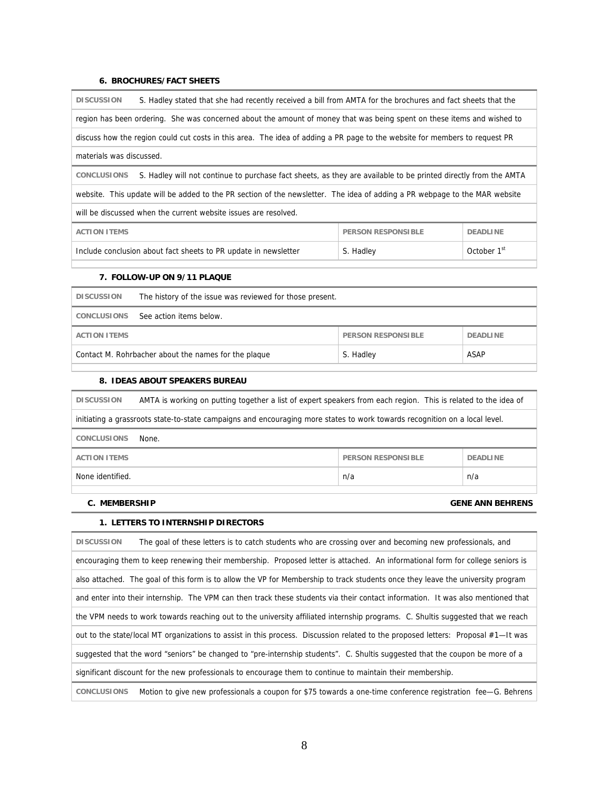#### **6. BROCHURES/FACT SHEETS**

**DISCUSSION** S. Hadley stated that she had recently received a bill from AMTA for the brochures and fact sheets that the region has been ordering. She was concerned about the amount of money that was being spent on these items and wished to discuss how the region could cut costs in this area. The idea of adding a PR page to the website for members to request PR materials was discussed. **CONCLUSIONS** S. Hadley will not continue to purchase fact sheets, as they are available to be printed directly from the AMTA website. This update will be added to the PR section of the newsletter. The idea of adding a PR webpage to the MAR website will be discussed when the current website issues are resolved. **ACTION ITEMS PERSON RESPONSIBLE PERSON RESPONSIBLE** Include conclusion about fact sheets to PR update in newsletter S. Hadley S. Hadley Cotober 1st

#### **7. FOLLOW-UP ON 9/11 PLAQUE**

| <b>DISCUSSION</b>                                                         | The history of the issue was reviewed for those present. |                           |                 |
|---------------------------------------------------------------------------|----------------------------------------------------------|---------------------------|-----------------|
| <b>CONCLUSIONS</b>                                                        | See action items below.                                  |                           |                 |
| <b>ACTION ITEMS</b>                                                       |                                                          | <b>PERSON RESPONSIBLE</b> | <b>DEADLINE</b> |
| Contact M. Rohrbacher about the names for the plaque<br>ASAP<br>S. Hadley |                                                          |                           |                 |
|                                                                           |                                                          |                           |                 |

#### **8. IDEAS ABOUT SPEAKERS BUREAU**

**DISCUSSION** AMTA is working on putting together a list of expert speakers from each region. This is related to the idea of initiating a grassroots state-to-state campaigns and encouraging more states to work towards recognition on a local level. **CONCLUSIONS** None. **ACTION ITEMS PERSON RESPONSIBLE PERSON RESPONSIBLE** None identified. n/a n/a

#### **C. MEMBERSHIP GENE ANN BEHRENS**

#### **1. LETTERS TO INTERNSHIP DIRECTORS**

**DISCUSSION** The goal of these letters is to catch students who are crossing over and becoming new professionals, and encouraging them to keep renewing their membership. Proposed letter is attached. An informational form for college seniors is also attached. The goal of this form is to allow the VP for Membership to track students once they leave the university program and enter into their internship. The VPM can then track these students via their contact information. It was also mentioned that the VPM needs to work towards reaching out to the university affiliated internship programs. C. Shultis suggested that we reach out to the state/local MT organizations to assist in this process. Discussion related to the proposed letters: Proposal #1—It was suggested that the word "seniors" be changed to "pre-internship students". C. Shultis suggested that the coupon be more of a significant discount for the new professionals to encourage them to continue to maintain their membership.

**CONCLUSIONS** Motion to give new professionals a coupon for \$75 towards a one-time conference registration fee—G. Behrens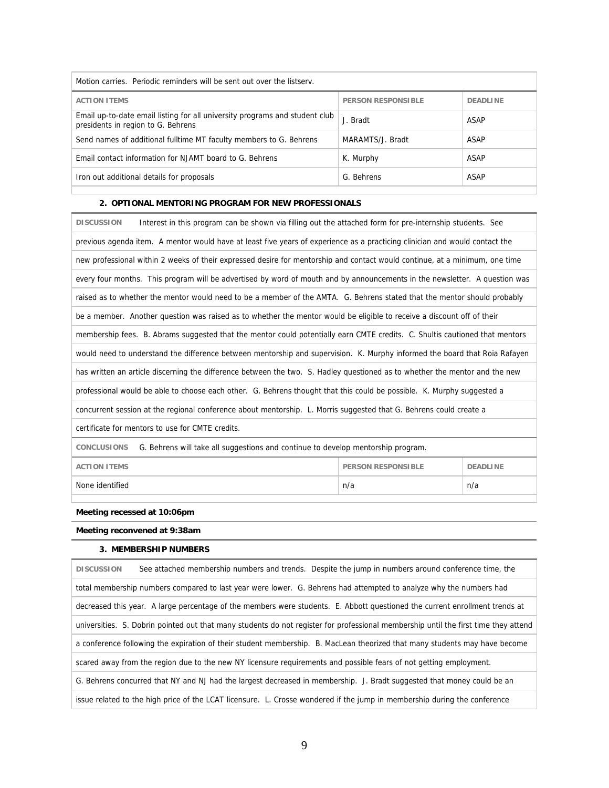| Motion carries. Periodic reminders will be sent out over the listsery.                                            |                           |                 |
|-------------------------------------------------------------------------------------------------------------------|---------------------------|-----------------|
| <b>ACTION ITEMS</b>                                                                                               | <b>PERSON RESPONSIBLE</b> | <b>DEADLINE</b> |
| Email up-to-date email listing for all university programs and student club<br>presidents in region to G. Behrens | J. Bradt                  | ASAP            |
| Send names of additional fulltime MT faculty members to G. Behrens                                                | MARAMTS/J. Bradt          | ASAP            |
| Email contact information for NJAMT board to G. Behrens                                                           | K. Murphy                 | ASAP            |
| Iron out additional details for proposals                                                                         | G. Behrens                | <b>ASAP</b>     |
|                                                                                                                   |                           |                 |

### **2. OPTIONAL MENTORING PROGRAM FOR NEW PROFESSIONALS**

| Interest in this program can be shown via filling out the attached form for pre-internship students. See<br><b>DISCUSSION</b> |
|-------------------------------------------------------------------------------------------------------------------------------|
| previous agenda item. A mentor would have at least five years of experience as a practicing clinician and would contact the   |
| new professional within 2 weeks of their expressed desire for mentorship and contact would continue, at a minimum, one time   |
| every four months. This program will be advertised by word of mouth and by announcements in the newsletter. A question was    |
| raised as to whether the mentor would need to be a member of the AMTA. G. Behrens stated that the mentor should probably      |
| be a member. Another question was raised as to whether the mentor would be eligible to receive a discount off of their        |
| membership fees. B. Abrams suggested that the mentor could potentially earn CMTE credits. C. Shultis cautioned that mentors   |
| would need to understand the difference between mentorship and supervision. K. Murphy informed the board that Roia Rafayen    |
| has written an article discerning the difference between the two. S. Hadley questioned as to whether the mentor and the new   |
| professional would be able to choose each other. G. Behrens thought that this could be possible. K. Murphy suggested a        |
| concurrent session at the regional conference about mentorship. L. Morris suggested that G. Behrens could create a            |
| certificate for mentors to use for CMTE credits.                                                                              |
| G. Behrens will take all suggestions and continue to develop mentorship program.<br><b>CONCLUSIONS</b>                        |

|  | <b>ACTION ITEMS</b> |
|--|---------------------|
|  |                     |

**PERSON RESPONSIBLE** DEADLINE None identified n/a n/a

### **Meeting recessed at 10:06pm**

**Meeting reconvened at 9:38am** 

#### **3. MEMBERSHIP NUMBERS**

| <b>DISCUSSION</b> | See attached membership numbers and trends. Despite the jump in numbers around conference time, the                                 |
|-------------------|-------------------------------------------------------------------------------------------------------------------------------------|
|                   | total membership numbers compared to last year were lower. G. Behrens had attempted to analyze why the numbers had                  |
|                   | decreased this year. A large percentage of the members were students. E. Abbott questioned the current enrollment trends at         |
|                   | universities. S. Dobrin pointed out that many students do not register for professional membership until the first time they attend |
|                   | a conference following the expiration of their student membership. B. MacLean theorized that many students may have become          |
|                   | scared away from the region due to the new NY licensure requirements and possible fears of not getting employment.                  |
|                   | G. Behrens concurred that NY and NJ had the largest decreased in membership. J. Bradt suggested that money could be an              |
|                   | issue related to the high price of the LCAT licensure. L. Crosse wondered if the jump in membership during the conference           |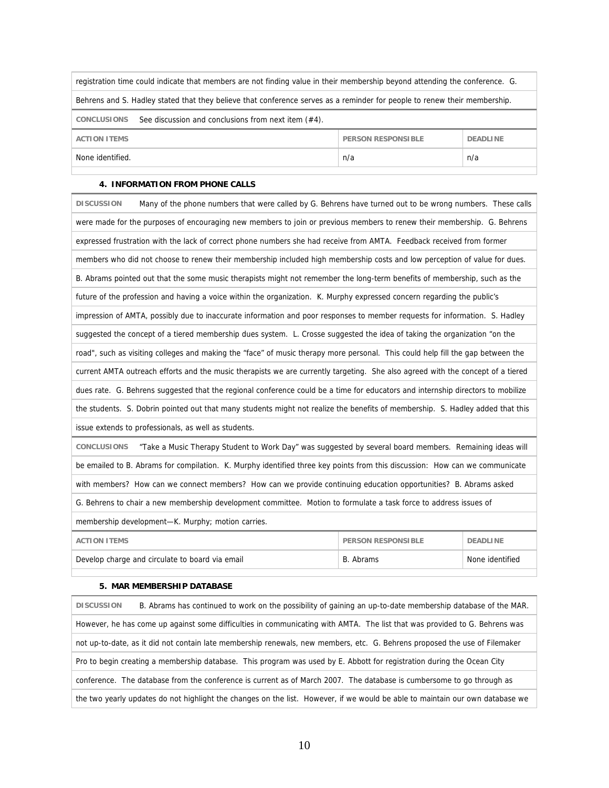| registration time could indicate that members are not finding value in their membership beyond attending the conference. G. |                                              |  |  |  |
|-----------------------------------------------------------------------------------------------------------------------------|----------------------------------------------|--|--|--|
| Behrens and S. Hadley stated that they believe that conference serves as a reminder for people to renew their membership.   |                                              |  |  |  |
| See discussion and conclusions from next item (#4).<br>CONCLUSIONS                                                          |                                              |  |  |  |
| <b>ACTION ITEMS</b>                                                                                                         | <b>PERSON RESPONSIBLE</b><br><b>DEADLINE</b> |  |  |  |
| n/a<br>n/a<br>None identified.                                                                                              |                                              |  |  |  |
|                                                                                                                             |                                              |  |  |  |

#### **4. INFORMATION FROM PHONE CALLS**

| <b>DISCUSSION</b>                                                                                                               | Many of the phone numbers that were called by G. Behrens have turned out to be wrong numbers. These calls                       |                           |                 |
|---------------------------------------------------------------------------------------------------------------------------------|---------------------------------------------------------------------------------------------------------------------------------|---------------------------|-----------------|
|                                                                                                                                 | were made for the purposes of encouraging new members to join or previous members to renew their membership. G. Behrens         |                           |                 |
|                                                                                                                                 | expressed frustration with the lack of correct phone numbers she had receive from AMTA. Feedback received from former           |                           |                 |
|                                                                                                                                 | members who did not choose to renew their membership included high membership costs and low perception of value for dues.       |                           |                 |
|                                                                                                                                 | B. Abrams pointed out that the some music therapists might not remember the long-term benefits of membership, such as the       |                           |                 |
|                                                                                                                                 | future of the profession and having a voice within the organization. K. Murphy expressed concern regarding the public's         |                           |                 |
|                                                                                                                                 | impression of AMTA, possibly due to inaccurate information and poor responses to member requests for information. S. Hadley     |                           |                 |
|                                                                                                                                 | suggested the concept of a tiered membership dues system. L. Crosse suggested the idea of taking the organization "on the       |                           |                 |
|                                                                                                                                 | road", such as visiting colleges and making the "face" of music therapy more personal. This could help fill the gap between the |                           |                 |
|                                                                                                                                 | current AMTA outreach efforts and the music therapists we are currently targeting. She also agreed with the concept of a tiered |                           |                 |
| dues rate. G. Behrens suggested that the regional conference could be a time for educators and internship directors to mobilize |                                                                                                                                 |                           |                 |
| the students. S. Dobrin pointed out that many students might not realize the benefits of membership. S. Hadley added that this  |                                                                                                                                 |                           |                 |
| issue extends to professionals, as well as students.                                                                            |                                                                                                                                 |                           |                 |
| <b>CONCLUSIONS</b><br>"Take a Music Therapy Student to Work Day" was suggested by several board members. Remaining ideas will   |                                                                                                                                 |                           |                 |
| be emailed to B. Abrams for compilation. K. Murphy identified three key points from this discussion: How can we communicate     |                                                                                                                                 |                           |                 |
| with members? How can we connect members? How can we provide continuing education opportunities? B. Abrams asked                |                                                                                                                                 |                           |                 |
| G. Behrens to chair a new membership development committee. Motion to formulate a task force to address issues of               |                                                                                                                                 |                           |                 |
| membership development-K. Murphy; motion carries.                                                                               |                                                                                                                                 |                           |                 |
| <b>ACTION ITEMS</b>                                                                                                             |                                                                                                                                 | <b>PERSON RESPONSIBLE</b> | <b>DEADLINE</b> |
| Develop charge and circulate to board via email                                                                                 |                                                                                                                                 | B. Abrams                 | None identified |
|                                                                                                                                 |                                                                                                                                 |                           |                 |

### **5. MAR MEMBERSHIP DATABASE**

| <b>DISCUSSION</b> | B. Abrams has continued to work on the possibility of gaining an up-to-date membership database of the MAR.                   |
|-------------------|-------------------------------------------------------------------------------------------------------------------------------|
|                   | However, he has come up against some difficulties in communicating with AMTA. The list that was provided to G. Behrens was    |
|                   | not up-to-date, as it did not contain late membership renewals, new members, etc. G. Behrens proposed the use of Filemaker    |
|                   | Pro to begin creating a membership database. This program was used by E. Abbott for registration during the Ocean City        |
|                   | conference. The database from the conference is current as of March 2007. The database is cumbersome to go through as         |
|                   | the two yearly updates do not highlight the changes on the list. However, if we would be able to maintain our own database we |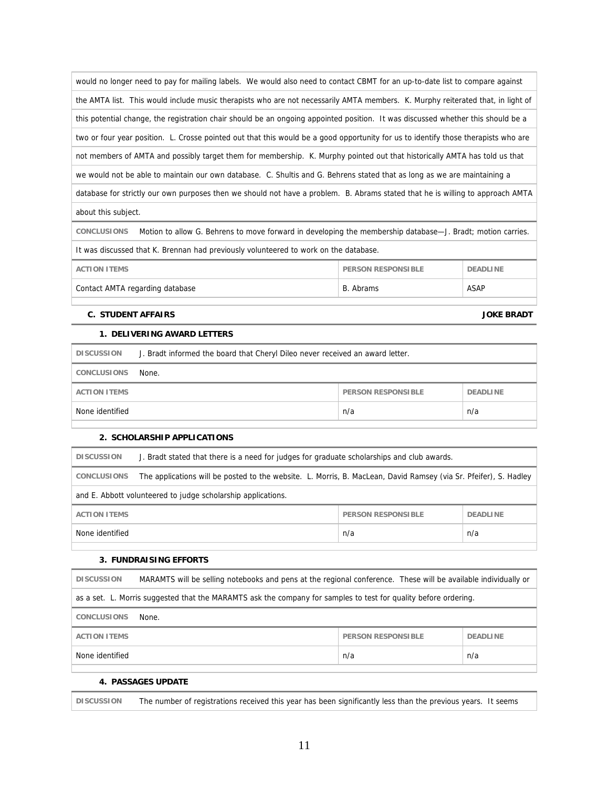| would no longer need to pay for mailing labels. We would also need to contact CBMT for an up-to-date list to compare against       |
|------------------------------------------------------------------------------------------------------------------------------------|
| the AMTA list. This would include music therapists who are not necessarily AMTA members. K. Murphy reiterated that, in light of    |
| this potential change, the registration chair should be an ongoing appointed position. It was discussed whether this should be a   |
| two or four year position. L. Crosse pointed out that this would be a good opportunity for us to identify those therapists who are |
| not members of AMTA and possibly target them for membership. K. Murphy pointed out that historically AMTA has told us that         |
| we would not be able to maintain our own database. C. Shultis and G. Behrens stated that as long as we are maintaining a           |
| database for strictly our own purposes then we should not have a problem. B. Abrams stated that he is willing to approach AMTA     |
| about this subject.                                                                                                                |
| <b>CONCLUSIONS</b><br>Motion to allow G. Behrens to move forward in developing the membership database—J. Bradt; motion carries.   |
| It was discussed that K. Brennan had previously volunteered to work on the database.                                               |

| Contact AMTA regarding database | B. Abrams                 | <b>ASAP</b>     |
|---------------------------------|---------------------------|-----------------|
| ACTION ITEMS                    | <b>PERSON RESPONSIBLE</b> | <b>DEADLINE</b> |

#### **C. STUDENT AFFAIRS JOKE BRADT**

### **1. DELIVERING AWARD LETTERS**

| <b>DISCUSSION</b>   | J. Bradt informed the board that Cheryl Dileo never received an award letter. |                    |                 |
|---------------------|-------------------------------------------------------------------------------|--------------------|-----------------|
| <b>CONCLUSIONS</b>  | None.                                                                         |                    |                 |
| <b>ACTION ITEMS</b> |                                                                               | PERSON RESPONSIBLE | <b>DEADLINE</b> |
| None identified     |                                                                               | n/a                | n/a             |
|                     |                                                                               |                    |                 |

#### **2. SCHOLARSHIP APPLICATIONS**

| <b>DISCUSSION</b>                                                   | J. Bradt stated that there is a need for judges for graduate scholarships and club awards.                       |  |  |
|---------------------------------------------------------------------|------------------------------------------------------------------------------------------------------------------|--|--|
| <b>CONCLUSIONS</b>                                                  | The applications will be posted to the website. L. Morris, B. MacLean, David Ramsey (via Sr. Pfeifer), S. Hadley |  |  |
| and E. Abbott volunteered to judge scholarship applications.        |                                                                                                                  |  |  |
| <b>ACTION ITEMS</b><br><b>PERSON RESPONSIBLE</b><br><b>DEADLINE</b> |                                                                                                                  |  |  |
| None identified<br>n/a<br>n/a                                       |                                                                                                                  |  |  |

#### **3. FUNDRAISING EFFORTS**

| <b>DISCUSSION</b>                                                                                               | MARAMTS will be selling notebooks and pens at the regional conference. These will be available individually or |                           |                 |  |
|-----------------------------------------------------------------------------------------------------------------|----------------------------------------------------------------------------------------------------------------|---------------------------|-----------------|--|
| as a set. L. Morris suggested that the MARAMTS ask the company for samples to test for quality before ordering. |                                                                                                                |                           |                 |  |
| <b>CONCLUSIONS</b><br>None.                                                                                     |                                                                                                                |                           |                 |  |
| <b>ACTION ITEMS</b>                                                                                             |                                                                                                                | <b>PERSON RESPONSIBLE</b> | <b>DEADLINE</b> |  |
| n/a<br>None identified<br>n/a                                                                                   |                                                                                                                |                           |                 |  |
|                                                                                                                 |                                                                                                                |                           |                 |  |

### **4. PASSAGES UPDATE**

**DISCUSSION** The number of registrations received this year has been significantly less than the previous years. It seems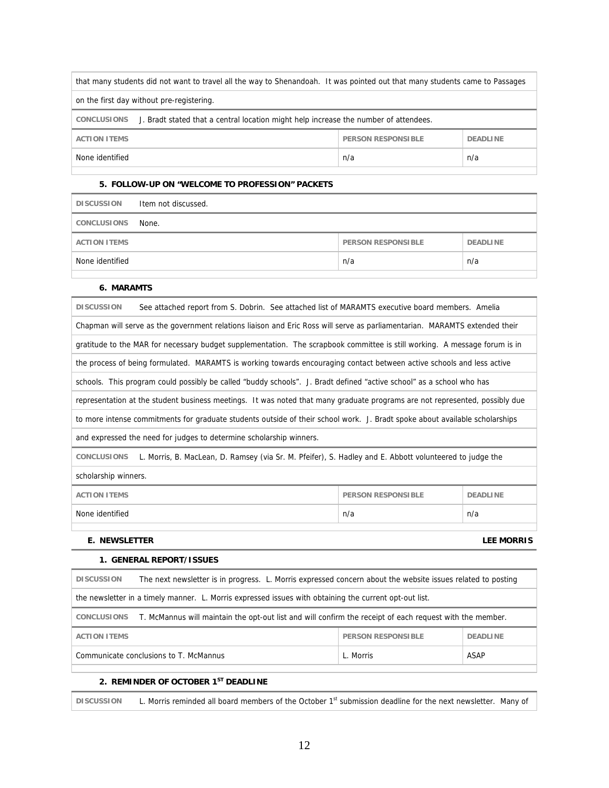| that many students did not want to travel all the way to Shenandoah. It was pointed out that many students came to Passages |  |  |  |  |
|-----------------------------------------------------------------------------------------------------------------------------|--|--|--|--|
| on the first day without pre-registering.                                                                                   |  |  |  |  |
| J. Bradt stated that a central location might help increase the number of attendees.<br>CONCLUSIONS                         |  |  |  |  |
| <b>ACTION ITEMS</b><br><b>PERSON RESPONSIBLE</b><br><b>DEADLINE</b>                                                         |  |  |  |  |
| n/a<br>None identified<br>n/a                                                                                               |  |  |  |  |
|                                                                                                                             |  |  |  |  |

#### **5. FOLLOW-UP ON "WELCOME TO PROFESSION" PACKETS**

| <b>DISCUSSION</b>   | Item not discussed. |                           |                 |
|---------------------|---------------------|---------------------------|-----------------|
| CONCLUSIONS         | None.               |                           |                 |
| <b>ACTION ITEMS</b> |                     | <b>PERSON RESPONSIBLE</b> | <b>DEADLINE</b> |
| None identified     |                     | n/a                       | n/a             |
|                     |                     |                           |                 |

#### **6. MARAMTS**

| See attached report from S. Dobrin. See attached list of MARAMTS executive board members. Amelia<br><b>DISCUSSION</b>         |  |  |  |  |
|-------------------------------------------------------------------------------------------------------------------------------|--|--|--|--|
| Chapman will serve as the government relations liaison and Eric Ross will serve as parliamentarian. MARAMTS extended their    |  |  |  |  |
| gratitude to the MAR for necessary budget supplementation. The scrapbook committee is still working. A message forum is in    |  |  |  |  |
| the process of being formulated. MARAMTS is working towards encouraging contact between active schools and less active        |  |  |  |  |
| schools. This program could possibly be called "buddy schools". J. Bradt defined "active school" as a school who has          |  |  |  |  |
| representation at the student business meetings. It was noted that many graduate programs are not represented, possibly due   |  |  |  |  |
| to more intense commitments for graduate students outside of their school work. J. Bradt spoke about available scholarships   |  |  |  |  |
| and expressed the need for judges to determine scholarship winners.                                                           |  |  |  |  |
| L. Morris, B. MacLean, D. Ramsey (via Sr. M. Pfeifer), S. Hadley and E. Abbott volunteered to judge the<br><b>CONCLUSIONS</b> |  |  |  |  |
| scholarship winners.                                                                                                          |  |  |  |  |
| <b>ACTION ITEMS</b><br><b>PERSON RESPONSIBLE</b><br><b>DEADLINE</b>                                                           |  |  |  |  |
| None identified<br>n/a<br>n/a                                                                                                 |  |  |  |  |
| <b>E. NEWSLETTER</b><br><b>LEE MORRIS</b>                                                                                     |  |  |  |  |

### **1. GENERAL REPORT/ISSUES**

| <b>DISCUSSION</b>                                                                                                       | The next newsletter is in progress. L. Morris expressed concern about the website issues related to posting |  |  |  |
|-------------------------------------------------------------------------------------------------------------------------|-------------------------------------------------------------------------------------------------------------|--|--|--|
| the newsletter in a timely manner. L. Morris expressed issues with obtaining the current opt-out list.                  |                                                                                                             |  |  |  |
| T. McMannus will maintain the opt-out list and will confirm the receipt of each request with the member.<br>CONCLUSIONS |                                                                                                             |  |  |  |
| <b>ACTION ITEMS</b><br><b>PERSON RESPONSIBLE</b><br><b>DEADLINE</b>                                                     |                                                                                                             |  |  |  |
| Communicate conclusions to T. McMannus<br>ASAP<br>L. Morris                                                             |                                                                                                             |  |  |  |
|                                                                                                                         |                                                                                                             |  |  |  |

## **2. REMINDER OF OCTOBER 1ST DEADLINE**

DISCUSSION L. Morris reminded all board members of the October 1<sup>st</sup> submission deadline for the next newsletter. Many of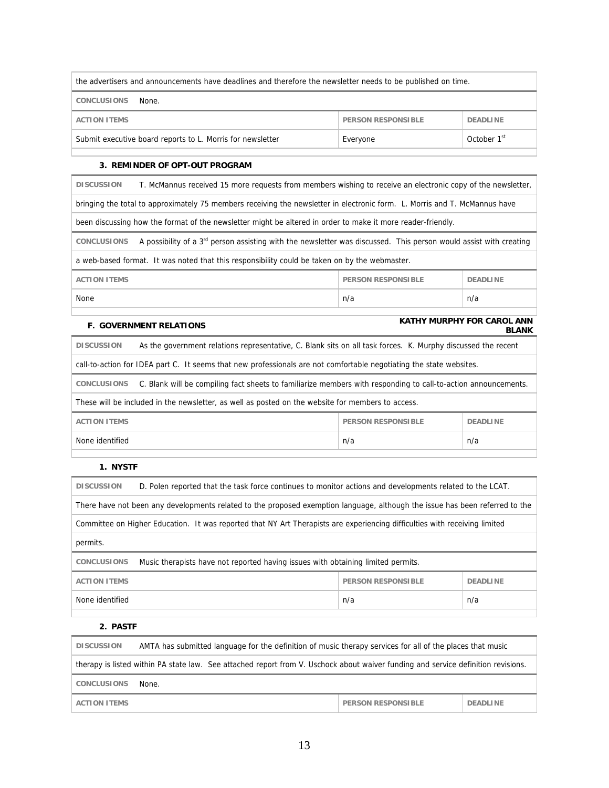| the advertisers and announcements have deadlines and therefore the newsletter needs to be published on time. |                           |                 |  |
|--------------------------------------------------------------------------------------------------------------|---------------------------|-----------------|--|
| <b>CONCLUSIONS</b><br>None.                                                                                  |                           |                 |  |
| <b>ACTION ITEMS</b>                                                                                          | <b>PERSON RESPONSIBLE</b> | <b>DEADLINE</b> |  |
| October 1 <sup>st</sup><br>Submit executive board reports to L. Morris for newsletter<br>Everyone            |                           |                 |  |

#### **3. REMINDER OF OPT-OUT PROGRAM**

| T. McMannus received 15 more requests from members wishing to receive an electronic copy of the newsletter,<br><b>DISCUSSION</b>                    |  |  |  |  |
|-----------------------------------------------------------------------------------------------------------------------------------------------------|--|--|--|--|
| bringing the total to approximately 75 members receiving the newsletter in electronic form. L. Morris and T. McMannus have                          |  |  |  |  |
| been discussing how the format of the newsletter might be altered in order to make it more reader-friendly.                                         |  |  |  |  |
| A possibility of a 3 <sup>rd</sup> person assisting with the newsletter was discussed. This person would assist with creating<br><b>CONCLUSIONS</b> |  |  |  |  |
| a web-based format. It was noted that this responsibility could be taken on by the webmaster.                                                       |  |  |  |  |
| <b>ACTION ITEMS</b><br><b>PERSON RESPONSIBLE</b><br><b>DEADLINE</b>                                                                                 |  |  |  |  |
| None<br>n/a<br>n/a                                                                                                                                  |  |  |  |  |
| <b>KATHY MURPHY FOR CAROL ANN</b>                                                                                                                   |  |  |  |  |
| <b>F. GOVERNMENT RELATIONS</b><br><b>BLANK</b>                                                                                                      |  |  |  |  |

**DISCUSSION** As the government relations representative, C. Blank sits on all task forces. K. Murphy discussed the recent

call-to-action for IDEA part C. It seems that new professionals are not comfortable negotiating the state websites.

**CONCLUSIONS** C. Blank will be compiling fact sheets to familiarize members with responding to call-to-action announcements.

These will be included in the newsletter, as well as posted on the website for members to access.

| <b>ACTION ITEMS</b><br><b>PERSON RESPONSIBLE</b> | <b>DEADLINE</b> |
|--------------------------------------------------|-----------------|
| None identified<br>n/a                           | n/a             |

#### **1. NYSTF**

| <b>DISCUSSION</b><br>D. Polen reported that the task force continues to monitor actions and developments related to the LCAT. |  |  |  |  |
|-------------------------------------------------------------------------------------------------------------------------------|--|--|--|--|
| There have not been any developments related to the proposed exemption language, although the issue has been referred to the  |  |  |  |  |
| Committee on Higher Education. It was reported that NY Art Therapists are experiencing difficulties with receiving limited    |  |  |  |  |
| permits.                                                                                                                      |  |  |  |  |
| Music therapists have not reported having issues with obtaining limited permits.<br><b>CONCLUSIONS</b>                        |  |  |  |  |
| <b>ACTION ITEMS</b><br><b>PERSON RESPONSIBLE</b><br><b>DEADLINE</b>                                                           |  |  |  |  |
| None identified<br>n/a<br>n/a                                                                                                 |  |  |  |  |
|                                                                                                                               |  |  |  |  |

 **2. PASTF** 

| AMTA has submitted language for the definition of music therapy services for all of the places that music<br><b>DISCUSSION</b>    |       |                           |                 |
|-----------------------------------------------------------------------------------------------------------------------------------|-------|---------------------------|-----------------|
| therapy is listed within PA state law. See attached report from V. Uschock about waiver funding and service definition revisions. |       |                           |                 |
| <b>CONCLUSIONS</b>                                                                                                                | None. |                           |                 |
| <b>ACTION ITEMS</b>                                                                                                               |       | <b>PERSON RESPONSIBLE</b> | <b>DEADLINE</b> |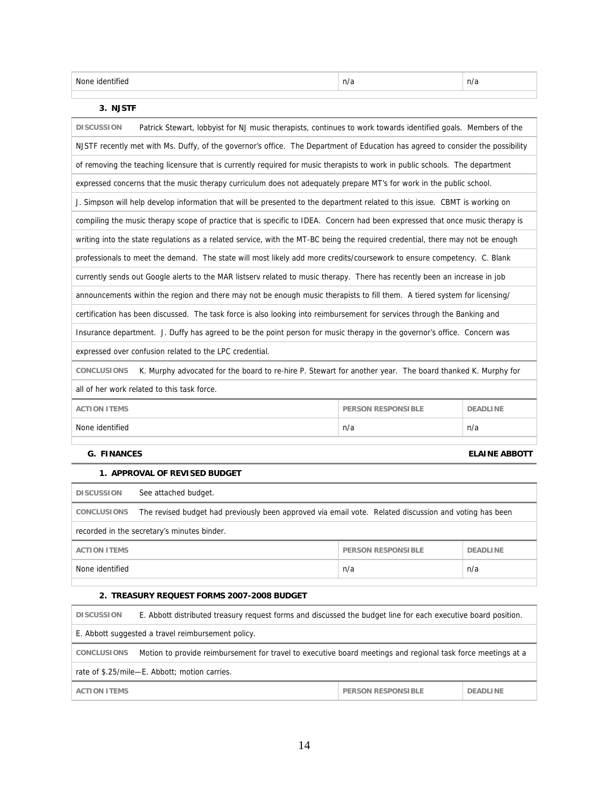| $\sim$<br>None<br>n/<br>. .<br>$\cdots$ | $\sim$<br>. I I I |
|-----------------------------------------|-------------------|
|-----------------------------------------|-------------------|

#### **3. NJSTF**

| <b>DISCUSSION</b><br>Patrick Stewart, lobbyist for NJ music therapists, continues to work towards identified goals. Members of the |     |                      |  |  |
|------------------------------------------------------------------------------------------------------------------------------------|-----|----------------------|--|--|
| NJSTF recently met with Ms. Duffy, of the governor's office. The Department of Education has agreed to consider the possibility    |     |                      |  |  |
| of removing the teaching licensure that is currently required for music therapists to work in public schools. The department       |     |                      |  |  |
| expressed concerns that the music therapy curriculum does not adequately prepare MT's for work in the public school.               |     |                      |  |  |
| J. Simpson will help develop information that will be presented to the department related to this issue. CBMT is working on        |     |                      |  |  |
| compiling the music therapy scope of practice that is specific to IDEA. Concern had been expressed that once music therapy is      |     |                      |  |  |
| writing into the state regulations as a related service, with the MT-BC being the reguired credential, there may not be enough     |     |                      |  |  |
| professionals to meet the demand. The state will most likely add more credits/coursework to ensure competency. C. Blank            |     |                      |  |  |
| currently sends out Google alerts to the MAR listserv related to music therapy. There has recently been an increase in job         |     |                      |  |  |
| announcements within the region and there may not be enough music therapists to fill them. A tiered system for licensing/          |     |                      |  |  |
| certification has been discussed. The task force is also looking into reimbursement for services through the Banking and           |     |                      |  |  |
| Insurance department. J. Duffy has agreed to be the point person for music therapy in the governor's office. Concern was           |     |                      |  |  |
| expressed over confusion related to the LPC credential.                                                                            |     |                      |  |  |
| <b>CONCLUSIONS</b><br>K. Murphy advocated for the board to re-hire P. Stewart for another year. The board thanked K. Murphy for    |     |                      |  |  |
| all of her work related to this task force.                                                                                        |     |                      |  |  |
| <b>ACTION ITEMS</b><br><b>PERSON RESPONSIBLE</b><br><b>DEADLINE</b>                                                                |     |                      |  |  |
| None identified                                                                                                                    | n/a | n/a                  |  |  |
|                                                                                                                                    |     |                      |  |  |
| <b>G. FINANCES</b>                                                                                                                 |     | <b>ELAINE ABBOTT</b> |  |  |

#### **1. APPROVAL OF REVISED BUDGET**

| <b>DISCUSSION</b>                                                                                                            | See attached budget. |     |     |  |
|------------------------------------------------------------------------------------------------------------------------------|----------------------|-----|-----|--|
| The revised budget had previously been approved via email vote. Related discussion and voting has been<br><b>CONCLUSIONS</b> |                      |     |     |  |
| recorded in the secretary's minutes binder.                                                                                  |                      |     |     |  |
| <b>ACTION ITEMS</b><br><b>PERSON RESPONSIBLE</b><br><b>DEADLINE</b>                                                          |                      |     |     |  |
| None identified                                                                                                              |                      | n/a | n/a |  |
|                                                                                                                              |                      |     |     |  |

#### **2. TREASURY REQUEST FORMS 2007-2008 BUDGET**

| <b>DISCUSSION</b>                                                                                                                  | E. Abbott distributed treasury request forms and discussed the budget line for each executive board position. |                           |                 |
|------------------------------------------------------------------------------------------------------------------------------------|---------------------------------------------------------------------------------------------------------------|---------------------------|-----------------|
| E. Abbott suggested a travel reimbursement policy.                                                                                 |                                                                                                               |                           |                 |
| Motion to provide reimbursement for travel to executive board meetings and regional task force meetings at a<br><b>CONCLUSIONS</b> |                                                                                                               |                           |                 |
| rate of \$.25/mile-E. Abbott; motion carries.                                                                                      |                                                                                                               |                           |                 |
| <b>ACTION ITEMS</b>                                                                                                                |                                                                                                               | <b>PERSON RESPONSIBLE</b> | <b>DEADLINE</b> |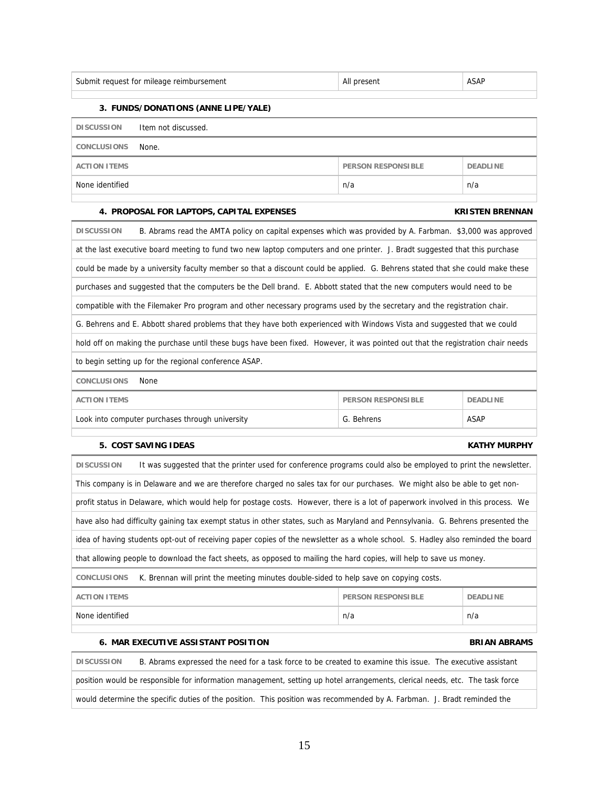| Subi<br>-ULIAS,<br>Ωľ<br>niie<br>nem<br>m<br>.<br>. | . | 1.SAI |
|-----------------------------------------------------|---|-------|
|-----------------------------------------------------|---|-------|

#### **3. FUNDS/DONATIONS (ANNE LIPE/YALE)**

| <b>DISCUSSION</b>   | Item not discussed. |                    |                 |
|---------------------|---------------------|--------------------|-----------------|
| <b>CONCLUSIONS</b>  | None.               |                    |                 |
| <b>ACTION ITEMS</b> |                     | PERSON RESPONSIBLE | <b>DEADLINE</b> |
| None identified     |                     | n/a                | n/a             |

#### **4. PROPOSAL FOR LAPTOPS, CAPITAL EXPENSES KRISTEN BRENNAN**

# **DISCUSSION** B. Abrams read the AMTA policy on capital expenses which was provided by A. Farbman. \$3,000 was approved at the last executive board meeting to fund two new laptop computers and one printer. J. Bradt suggested that this purchase could be made by a university faculty member so that a discount could be applied. G. Behrens stated that she could make these purchases and suggested that the computers be the Dell brand. E. Abbott stated that the new computers would need to be compatible with the Filemaker Pro program and other necessary programs used by the secretary and the registration chair. G. Behrens and E. Abbott shared problems that they have both experienced with Windows Vista and suggested that we could hold off on making the purchase until these bugs have been fixed. However, it was pointed out that the registration chair needs to begin setting up for the regional conference ASAP.

**CONCLUSIONS** None

| ACTION ITEMS                                    | <b>PERSON RESPONSIBLE</b> | <b>DEADLINE</b> |
|-------------------------------------------------|---------------------------|-----------------|
| Look into computer purchases through university | G. Behrens                | ASAP            |

### **5. COST SAVING IDEAS KATHY MURPHY**

| <b>DISCUSSION</b>                                                                                                                | It was suggested that the printer used for conference programs could also be employed to print the newsletter.                   |
|----------------------------------------------------------------------------------------------------------------------------------|----------------------------------------------------------------------------------------------------------------------------------|
|                                                                                                                                  | This company is in Delaware and we are therefore charged no sales tax for our purchases. We might also be able to get non-       |
|                                                                                                                                  | profit status in Delaware, which would help for postage costs. However, there is a lot of paperwork involved in this process. We |
|                                                                                                                                  | have also had difficulty gaining tax exempt status in other states, such as Maryland and Pennsylvania. G. Behrens presented the  |
| idea of having students opt-out of receiving paper copies of the newsletter as a whole school. S. Hadley also reminded the board |                                                                                                                                  |
| that allowing people to download the fact sheets, as opposed to mailing the hard copies, will help to save us money.             |                                                                                                                                  |
| <b>CONCLUSIONS</b>                                                                                                               | K. Brennan will print the meeting minutes double-sided to help save on copying costs.                                            |
|                                                                                                                                  |                                                                                                                                  |

| None identified |     |
|-----------------|-----|
| n/a             | n/a |

### **6. MAR EXECUTIVE ASSISTANT POSITION BRIAN ABRAMS**

**DISCUSSION** B. Abrams expressed the need for a task force to be created to examine this issue. The executive assistant position would be responsible for information management, setting up hotel arrangements, clerical needs, etc. The task force would determine the specific duties of the position. This position was recommended by A. Farbman. J. Bradt reminded the